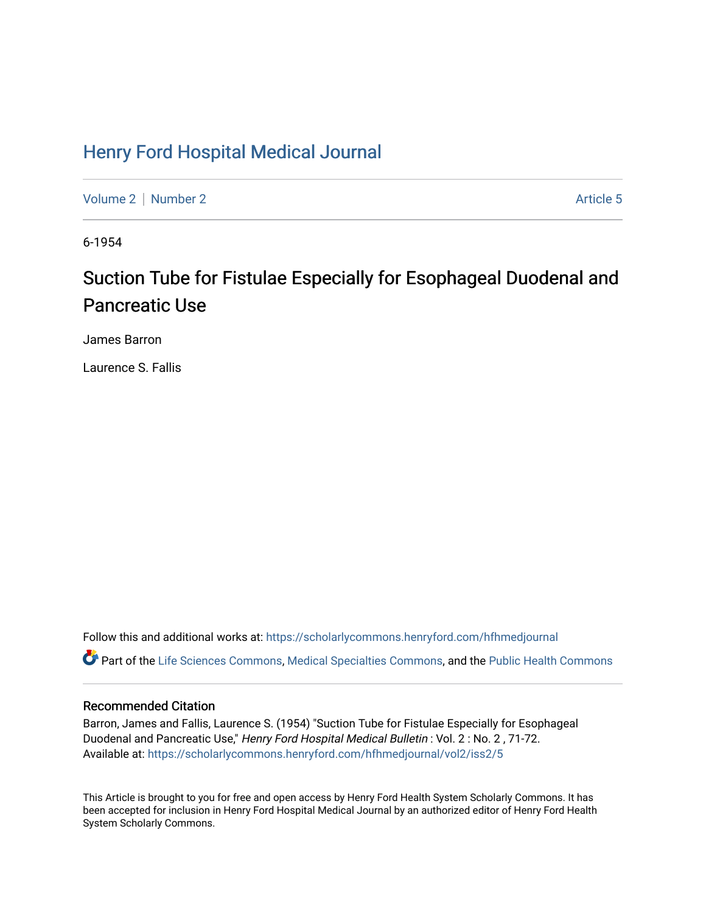## [Henry Ford Hospital Medical Journal](https://scholarlycommons.henryford.com/hfhmedjournal)

[Volume 2](https://scholarlycommons.henryford.com/hfhmedjournal/vol2) [Number 2](https://scholarlycommons.henryford.com/hfhmedjournal/vol2/iss2) Article 5

6-1954

# Suction Tube for Fistulae Especially for Esophageal Duodenal and Pancreatic Use

James Barron

Laurence S. Fallis

Follow this and additional works at: [https://scholarlycommons.henryford.com/hfhmedjournal](https://scholarlycommons.henryford.com/hfhmedjournal?utm_source=scholarlycommons.henryford.com%2Fhfhmedjournal%2Fvol2%2Fiss2%2F5&utm_medium=PDF&utm_campaign=PDFCoverPages) Part of the [Life Sciences Commons,](http://network.bepress.com/hgg/discipline/1016?utm_source=scholarlycommons.henryford.com%2Fhfhmedjournal%2Fvol2%2Fiss2%2F5&utm_medium=PDF&utm_campaign=PDFCoverPages) [Medical Specialties Commons](http://network.bepress.com/hgg/discipline/680?utm_source=scholarlycommons.henryford.com%2Fhfhmedjournal%2Fvol2%2Fiss2%2F5&utm_medium=PDF&utm_campaign=PDFCoverPages), and the Public Health Commons

### Recommended Citation

Barron, James and Fallis, Laurence S. (1954) "Suction Tube for Fistulae Especially for Esophageal Duodenal and Pancreatic Use," Henry Ford Hospital Medical Bulletin : Vol. 2 : No. 2 , 71-72. Available at: [https://scholarlycommons.henryford.com/hfhmedjournal/vol2/iss2/5](https://scholarlycommons.henryford.com/hfhmedjournal/vol2/iss2/5?utm_source=scholarlycommons.henryford.com%2Fhfhmedjournal%2Fvol2%2Fiss2%2F5&utm_medium=PDF&utm_campaign=PDFCoverPages) 

This Article is brought to you for free and open access by Henry Ford Health System Scholarly Commons. It has been accepted for inclusion in Henry Ford Hospital Medical Journal by an authorized editor of Henry Ford Health System Scholarly Commons.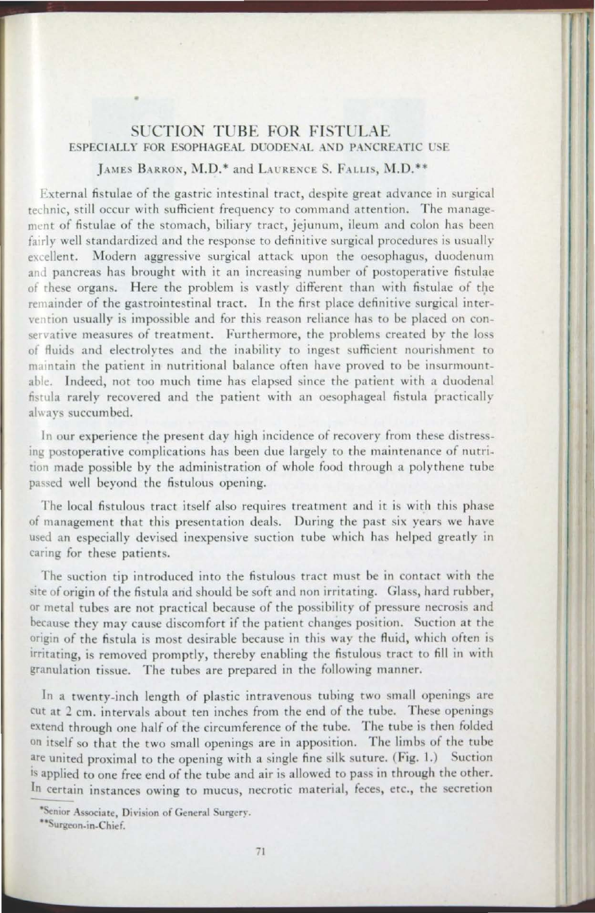### SUCTION TUBE FOR FISTULAE

 $\overline{\mathbf{r}}$ 

·I

L ..-

#### LAMES BARRON, M.D.<sup>\*</sup> and LAURENCE S. FALLIS, M.D.<sup>\*\*</sup>

External fistulae of the gastric intestinal tract, despite great advance in surgical rechnic, still occur with sufficient frequency to command attention. The management of fistulae of the stomach, biliary tract, jejunum, ileum and colon has been fairly well standardized and the response to definitive surgical procedures is usually excellent. Modern aggressive surgical attack upon the oesophagus, duodenum and pancreas has brought with it an increasing number of postoperative fistulae of these organs. Here the problem is vastly different than with fistulae of the remainder of the gastrointestinal tract. In the first place definitive surgical intervention usually is impossible and for this reason reliance has to be placed on conservative measures of treatment. Furthermore, the problems created by the loss of fluids and electrolytes and the inability to ingest sufficient nourishment to maintain the patient in nutritional balance often have proved to be insurmountable. Indeed, not too much time has elapsed since the patient with a duodenal fistula rarely recovered and the patient with an oesophageal fistula practically always succumbed.

In our experience the present day high incidence of recovery from these distressing postoperative complications has been due largely to the maintenance of nutrition made possible by the administration of whole food through a polythene rube passed well beyond the fistulous opening.

The local fistulous tract itself also requires treatment and it is with this phase of management that this presentation deals. During the past six years we have used an especially devised inexpensive suction tube which has helped greatly in caring for these patients.

The suction tip introduced into the fistulous tract must be in contact with the site of origin of the fistula and should be soft and non irritating. Glass, hard rubber, or metal tubes are not practical because of the possibility of pressure necrosis and because they may cause discomfort if the patient changes position. Suction at the origin of the fistula is most desirable because in this way the fluid, which often is irritating, is removed promptly, thereby enabling the fistulous tract to fill in with granulation tissue. The tubes are prepared in the following manner.

In a twenty-inch length of plastic intravenous tubing two small openings are cut at 2 cm. intervals about ten inches from the end of the tube. These openings extend through one half of the circumference of the tube. The tube is then folded on itself so that the two srnall openings are in apposition. The limbs of the tube are united proximal to the opening with a single fine silk suture. (Fig. 1.) Suction is applied to one free end of the tube and air is allowed to pass in through the other.<br>In certain instances owing to mucus, necrotic material, feces, etc., the secretion

--

<sup>\*</sup>Senior Associate, Division of General Surgery.

<sup>••</sup>surgeon-in-Chief.